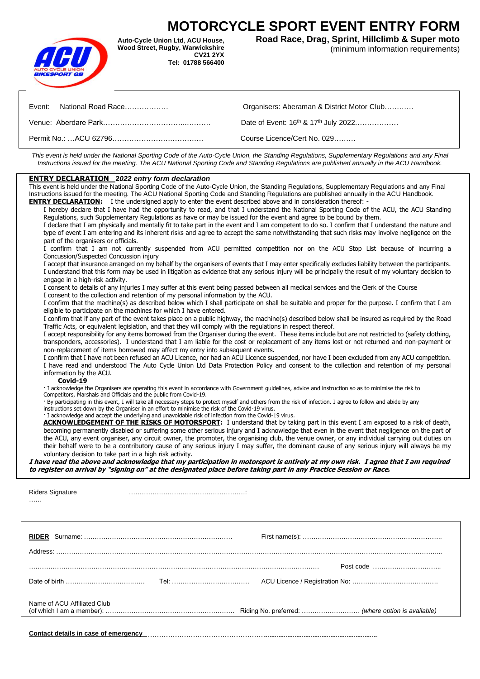# **MOTORCYCLE SPORT EVENT ENTRY FORM**



**Auto-Cycle Union Ltd**, **ACU House, Wood Street, Rugby, Warwickshire CV21 2YX Tel: 01788 566400**   **Road Race, Drag, Sprint, Hillclimb & Super moto** (minimum information requirements)

| Event: National Road Race | Organisers: Aberaman & District Motor Club                   |
|---------------------------|--------------------------------------------------------------|
|                           | Date of Event: 16 <sup>th</sup> & 17 <sup>th</sup> July 2022 |
|                           | Course Licence/Cert No. 029                                  |

*This event is held under the National Sporting Code of the Auto-Cycle Union, the Standing Regulations, Supplementary Regulations and any Final Instructions issued for the meeting. The ACU National Sporting Code and Standing Regulations are published annually in the ACU Handbook.*

### **ENTRY DECLARATION 2***022 entry form declaration*

This event is held under the National Sporting Code of the Auto-Cycle Union, the Standing Regulations, Supplementary Regulations and any Final Instructions issued for the meeting. The ACU National Sporting Code and Standing Regulations are published annually in the ACU Handbook. **ENTRY DECLARATION:** I the undersigned apply to enter the event described above and in consideration thereof: -

I hereby declare that I have had the opportunity to read, and that I understand the National Sporting Code of the ACU, the ACU Standing Regulations, such Supplementary Regulations as have or may be issued for the event and agree to be bound by them. I declare that I am physically and mentally fit to take part in the event and I am competent to do so. I confirm that I understand the nature and type of event I am entering and its inherent risks and agree to accept the same notwithstanding that such risks may involve negligence on the part of the organisers or officials.

I confirm that I am not currently suspended from ACU permitted competition nor on the ACU Stop List because of incurring a Concussion/Suspected Concussion injury

I accept that insurance arranged on my behalf by the organisers of events that I may enter specifically excludes liability between the participants. I understand that this form may be used in litigation as evidence that any serious injury will be principally the result of my voluntary decision to engage in a high-risk activity.

I consent to details of any injuries I may suffer at this event being passed between all medical services and the Clerk of the Course

I consent to the collection and retention of my personal information by the ACU.

I confirm that the machine(s) as described below which I shall participate on shall be suitable and proper for the purpose. I confirm that I am eligible to participate on the machines for which I have entered.

I confirm that if any part of the event takes place on a public highway, the machine(s) described below shall be insured as required by the Road Traffic Acts, or equivalent legislation, and that they will comply with the regulations in respect thereof.

I accept responsibility for any items borrowed from the Organiser during the event. These items include but are not restricted to (safety clothing, transponders, accessories). I understand that I am liable for the cost or replacement of any items lost or not returned and non-payment or non-replacement of items borrowed may affect my entry into subsequent events.

I confirm that I have not been refused an ACU Licence, nor had an ACU Licence suspended, nor have I been excluded from any ACU competition. I have read and understood The Auto Cycle Union Ltd Data Protection Policy and consent to the collection and retention of my personal information by the ACU.

### **Covid-19**

· I acknowledge the Organisers are operating this event in accordance with Government guidelines, advice and instruction so as to minimise the risk to Competitors, Marshals and Officials and the public from Covid-19.

· By participating in this event, I will take all necessary steps to protect myself and others from the risk of infection. I agree to follow and abide by any instructions set down by the Organiser in an effort to minimise the risk of the Covid-19 virus.

· I acknowledge and accept the underlying and unavoidable risk of infection from the Covid-19 virus.

**ACKNOWLEDGEMENT OF THE RISKS OF MOTORSPORT:** I understand that by taking part in this event I am exposed to a risk of death, becoming permanently disabled or suffering some other serious injury and I acknowledge that even in the event that negligence on the part of the ACU, any event organiser, any circuit owner, the promoter, the organising club, the venue owner, or any individual carrying out duties on their behalf were to be a contributory cause of any serious injury I may suffer, the dominant cause of any serious injury will always be my voluntary decision to take part in a high risk activity.

**I have read the above and acknowledge that my participation in motorsport is entirely at my own risk. I agree that I am required to register on arrival by "signing on" at the designated place before taking part in any Practice Session or Race.**

| Riders Signature |  |
|------------------|--|
| .                |  |

| Name of ACU Affiliated Club |  |
|-----------------------------|--|
|                             |  |

**Contact details in case of emergency**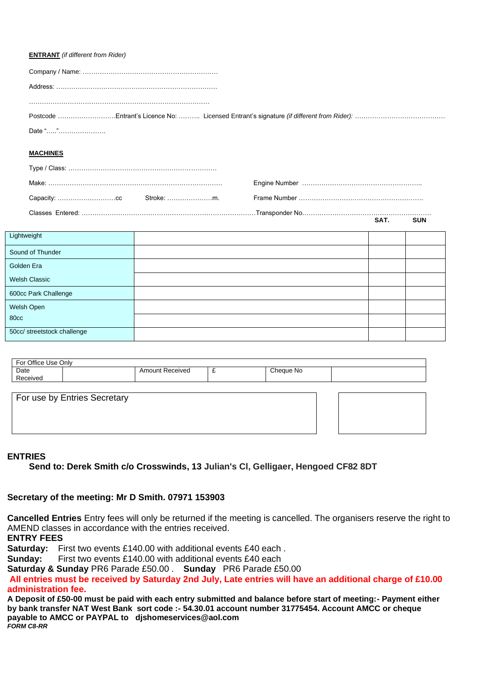## **ENTRANT** *(if different from Rider)*

| Date ""         |  |
|-----------------|--|
|                 |  |
| <b>MACHINES</b> |  |
|                 |  |
|                 |  |
| Stroke: m.      |  |
|                 |  |

| Lightweight                 |  |  |
|-----------------------------|--|--|
|                             |  |  |
| Sound of Thunder            |  |  |
| Golden Era                  |  |  |
| <b>Welsh Classic</b>        |  |  |
| 600cc Park Challenge        |  |  |
| Welsh Open                  |  |  |
| 80cc                        |  |  |
| 50cc/ streetstock challenge |  |  |

**SAT. SUN**

| For Office Use Only |                              |                        |   |           |  |
|---------------------|------------------------------|------------------------|---|-----------|--|
| Date                |                              | <b>Amount Received</b> | ∼ | Cheque No |  |
| Received            |                              |                        |   |           |  |
|                     |                              |                        |   |           |  |
|                     | For use by Entries Secretary |                        |   |           |  |
|                     |                              |                        |   |           |  |
|                     |                              |                        |   |           |  |
|                     |                              |                        |   |           |  |

# **ENTRIES**

**Send to: Derek Smith c/o Crosswinds, 13 Julian's Cl, Gelligaer, Hengoed CF82 8DT**

## **Secretary of the meeting: Mr D Smith. 07971 153903**

**Cancelled Entries** Entry fees will only be returned if the meeting is cancelled. The organisers reserve the right to AMEND classes in accordance with the entries received.

**ENTRY FEES**

**Saturday:** First two events £140.00 with additional events £40 each .

**Sunday:** First two events £140.00 with additional events £40 each

**Saturday & Sunday** PR6 Parade £50.00 . **Sunday** PR6 Parade £50.00

**All entries must be received by Saturday 2nd July, Late entries will have an additional charge of £10.00 administration fee.**

**A Deposit of £50-00 must be paid with each entry submitted and balance before start of meeting:- Payment either by bank transfer NAT West Bank sort code :- 54.30.01 account number 31775454. Account AMCC or cheque payable to AMCC or PAYPAL to djshomeservices@aol.com**  *FORM C8-RR*